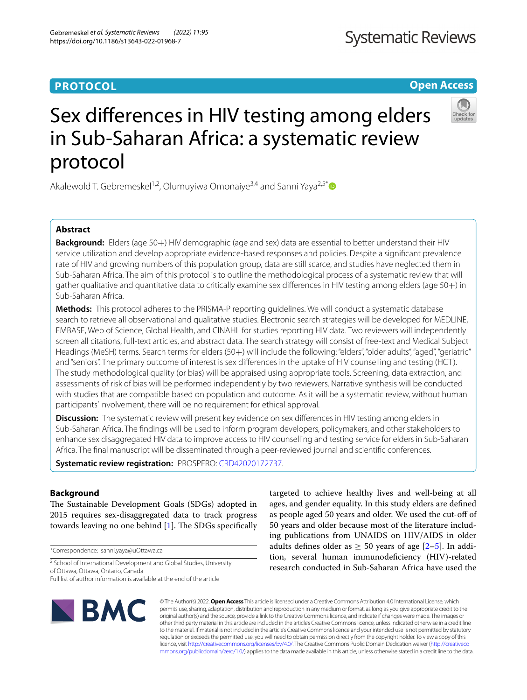# **PROTOCOL**

**Open Access**

# Sex diferences in HIV testing among elders in Sub-Saharan Africa: a systematic review protocol

Akalewold T. Gebremeskel<sup>1,2</sup>, Olumuyiwa Omonaiye<sup>3,4</sup> and Sanni Yaya<sup>2,5\*</sup>

# **Abstract**

**Background:** Elders (age 50+) HIV demographic (age and sex) data are essential to better understand their HIV service utilization and develop appropriate evidence-based responses and policies. Despite a signifcant prevalence rate of HIV and growing numbers of this population group, data are still scarce, and studies have neglected them in Sub-Saharan Africa. The aim of this protocol is to outline the methodological process of a systematic review that will gather qualitative and quantitative data to critically examine sex diferences in HIV testing among elders (age 50+) in Sub-Saharan Africa.

**Methods:** This protocol adheres to the PRISMA-P reporting guidelines. We will conduct a systematic database search to retrieve all observational and qualitative studies. Electronic search strategies will be developed for MEDLINE, EMBASE, Web of Science, Global Health, and CINAHL for studies reporting HIV data. Two reviewers will independently screen all citations, full-text articles, and abstract data. The search strategy will consist of free-text and Medical Subject Headings (MeSH) terms. Search terms for elders (50+) will include the following: "elders", "older adults", "aged", "geriatric" and "seniors". The primary outcome of interest is sex diferences in the uptake of HIV counselling and testing (HCT). The study methodological quality (or bias) will be appraised using appropriate tools. Screening, data extraction, and assessments of risk of bias will be performed independently by two reviewers. Narrative synthesis will be conducted with studies that are compatible based on population and outcome. As it will be a systematic review, without human participants' involvement, there will be no requirement for ethical approval.

**Discussion:** The systematic review will present key evidence on sex differences in HIV testing among elders in Sub-Saharan Africa. The fndings will be used to inform program developers, policymakers, and other stakeholders to enhance sex disaggregated HIV data to improve access to HIV counselling and testing service for elders in Sub-Saharan Africa. The fnal manuscript will be disseminated through a peer-reviewed journal and scientifc conferences.

**Systematic review registration:** PROSPERO: [CRD42020172737.](https://www.crd.york.ac.uk/prospero/display_record.php?ID=CRD42020172737)

# **Background**

The Sustainable Development Goals (SDGs) adopted in 2015 requires sex-disaggregated data to track progress towards leaving no one behind  $[1]$  $[1]$  $[1]$ . The SDGs specifically

\*Correspondence: sanni.yaya@uOttawa.ca

<sup>2</sup> School of International Development and Global Studies, University of Ottawa, Ottawa, Ontario, Canada

Full list of author information is available at the end of the article



targeted to achieve healthy lives and well-being at all ages, and gender equality. In this study elders are defned as people aged 50 years and older. We used the cut-of of 50 years and older because most of the literature including publications from UNAIDS on HIV/AIDS in older adults defines older as  $\geq$  50 years of age [[2–](#page-4-1)[5\]](#page-4-2). In addition, several human immunodefciency (HIV)-related research conducted in Sub-Saharan Africa have used the

© The Author(s) 2022. **Open Access** This article is licensed under a Creative Commons Attribution 4.0 International License, which permits use, sharing, adaptation, distribution and reproduction in any medium or format, as long as you give appropriate credit to the original author(s) and the source, provide a link to the Creative Commons licence, and indicate if changes were made. The images or other third party material in this article are included in the article's Creative Commons licence, unless indicated otherwise in a credit line to the material. If material is not included in the article's Creative Commons licence and your intended use is not permitted by statutory regulation or exceeds the permitted use, you will need to obtain permission directly from the copyright holder. To view a copy of this licence, visit [http://creativecommons.org/licenses/by/4.0/.](http://creativecommons.org/licenses/by/4.0/) The Creative Commons Public Domain Dedication waiver ([http://creativeco](http://creativecommons.org/publicdomain/zero/1.0/) [mmons.org/publicdomain/zero/1.0/](http://creativecommons.org/publicdomain/zero/1.0/)) applies to the data made available in this article, unless otherwise stated in a credit line to the data.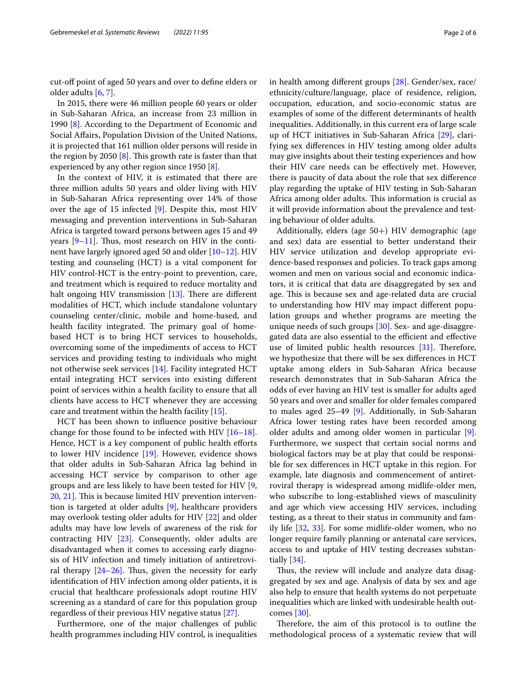cut-of point of aged 50 years and over to defne elders or older adults [\[6](#page-4-3), [7\]](#page-4-4).

In 2015, there were 46 million people 60 years or older in Sub-Saharan Africa, an increase from 23 million in 1990 [\[8](#page-4-5)]. According to the Department of Economic and Social Afairs, Population Division of the United Nations, it is projected that 161 million older persons will reside in the region by 2050  $[8]$  $[8]$ . This growth rate is faster than that experienced by any other region since 1950 [\[8\]](#page-4-5).

In the context of HIV, it is estimated that there are three million adults 50 years and older living with HIV in Sub-Saharan Africa representing over 14% of those over the age of 15 infected [\[9\]](#page-4-6). Despite this, most HIV messaging and prevention interventions in Sub-Saharan Africa is targeted toward persons between ages 15 and 49 years  $[9-11]$  $[9-11]$ . Thus, most research on HIV in the continent have largely ignored aged 50 and older [\[10](#page-4-8)[–12\]](#page-5-0). HIV testing and counseling (HCT) is a vital component for HIV control-HCT is the entry-point to prevention, care, and treatment which is required to reduce mortality and halt ongoing HIV transmission  $[13]$  $[13]$  $[13]$ . There are different modalities of HCT, which include standalone voluntary counseling center/clinic, mobile and home-based, and health facility integrated. The primary goal of homebased HCT is to bring HCT services to households, overcoming some of the impediments of access to HCT services and providing testing to individuals who might not otherwise seek services [[14\]](#page-5-2). Facility integrated HCT entail integrating HCT services into existing diferent point of services within a health facility to ensure that all clients have access to HCT whenever they are accessing care and treatment within the health facility [\[15](#page-5-3)].

HCT has been shown to infuence positive behaviour change for those found to be infected with HIV  $[16-18]$  $[16-18]$  $[16-18]$ . Hence, HCT is a key component of public health efforts to lower HIV incidence [[19\]](#page-5-6). However, evidence shows that older adults in Sub-Saharan Africa lag behind in accessing HCT service by comparison to other age groups and are less likely to have been tested for HIV [\[9](#page-4-6), [20,](#page-5-7) [21](#page-5-8)]. This is because limited HIV prevention intervention is targeted at older adults [[9\]](#page-4-6), healthcare providers may overlook testing older adults for HIV [[22](#page-5-9)] and older adults may have low levels of awareness of the risk for contracting HIV [[23\]](#page-5-10). Consequently, older adults are disadvantaged when it comes to accessing early diagnosis of HIV infection and timely initiation of antiretroviral therapy  $[24-26]$  $[24-26]$  $[24-26]$ . Thus, given the necessity for early identifcation of HIV infection among older patients, it is crucial that healthcare professionals adopt routine HIV screening as a standard of care for this population group regardless of their previous HIV negative status [\[27](#page-5-13)].

Furthermore, one of the major challenges of public health programmes including HIV control, is inequalities in health among diferent groups [[28\]](#page-5-14). Gender/sex, race/ ethnicity/culture/language, place of residence, religion, occupation, education, and socio-economic status are examples of some of the diferent determinants of health inequalities. Additionally, in this current era of large scale up of HCT initiatives in Sub-Saharan Africa [\[29](#page-5-15)], clarifying sex diferences in HIV testing among older adults may give insights about their testing experiences and how their HIV care needs can be efectively met. However, there is paucity of data about the role that sex diference play regarding the uptake of HIV testing in Sub-Saharan Africa among older adults. This information is crucial as it will provide information about the prevalence and testing behaviour of older adults.

Additionally, elders (age 50+) HIV demographic (age and sex) data are essential to better understand their HIV service utilization and develop appropriate evidence-based responses and policies. To track gaps among women and men on various social and economic indicators, it is critical that data are disaggregated by sex and age. This is because sex and age-related data are crucial to understanding how HIV may impact diferent population groups and whether programs are meeting the unique needs of such groups [[30\]](#page-5-16). Sex- and age-disaggregated data are also essential to the efficient and effective use of limited public health resources  $[31]$  $[31]$ . Therefore, we hypothesize that there will be sex diferences in HCT uptake among elders in Sub-Saharan Africa because research demonstrates that in Sub-Saharan Africa the odds of ever having an HIV test is smaller for adults aged 50 years and over and smaller for older females compared to males aged 25–49 [[9](#page-4-6)]. Additionally, in Sub-Saharan Africa lower testing rates have been recorded among older adults and among older women in particular [\[9](#page-4-6)]. Furthermore, we suspect that certain social norms and biological factors may be at play that could be responsible for sex diferences in HCT uptake in this region. For example, late diagnosis and commencement of antiretroviral therapy is widespread among midlife-older men, who subscribe to long-established views of masculinity and age which view accessing HIV services, including testing, as a threat to their status in community and family life [\[32,](#page-5-18) [33\]](#page-5-19). For some midlife-older women, who no longer require family planning or antenatal care services, access to and uptake of HIV testing decreases substantially [\[34](#page-5-20)].

Thus, the review will include and analyze data disaggregated by sex and age. Analysis of data by sex and age also help to ensure that health systems do not perpetuate inequalities which are linked with undesirable health outcomes [\[30](#page-5-16)].

Therefore, the aim of this protocol is to outline the methodological process of a systematic review that will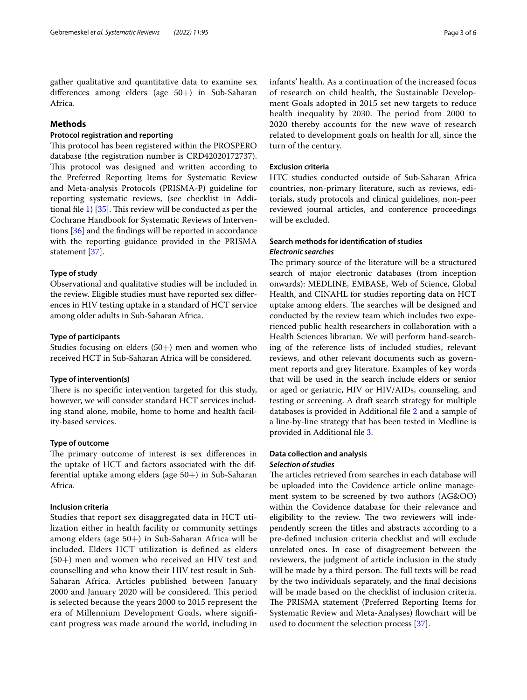gather qualitative and quantitative data to examine sex diferences among elders (age 50+) in Sub-Saharan Africa.

# **Methods**

# **Protocol registration and reporting**

This protocol has been registered within the PROSPERO database (the registration number is CRD42020172737). This protocol was designed and written according to the Preferred Reporting Items for Systematic Review and Meta-analysis Protocols (PRISMA-P) guideline for reporting systematic reviews, (see checklist in Addi-tional file [1\)](#page-4-9)  $[35]$  $[35]$ . This review will be conducted as per the Cochrane Handbook for Systematic Reviews of Interventions [[36](#page-5-22)] and the fndings will be reported in accordance with the reporting guidance provided in the PRISMA statement [[37](#page-5-23)].

# **Type of study**

Observational and qualitative studies will be included in the review. Eligible studies must have reported sex diferences in HIV testing uptake in a standard of HCT service among older adults in Sub-Saharan Africa.

# **Type of participants**

Studies focusing on elders  $(50+)$  men and women who received HCT in Sub-Saharan Africa will be considered.

# **Type of intervention(s)**

There is no specific intervention targeted for this study, however, we will consider standard HCT services including stand alone, mobile, home to home and health facility-based services.

# **Type of outcome**

The primary outcome of interest is sex differences in the uptake of HCT and factors associated with the differential uptake among elders (age 50+) in Sub-Saharan Africa.

# **Inclusion criteria**

Studies that report sex disaggregated data in HCT utilization either in health facility or community settings among elders (age 50+) in Sub-Saharan Africa will be included. Elders HCT utilization is defned as elders (50+) men and women who received an HIV test and counselling and who know their HIV test result in Sub-Saharan Africa. Articles published between January 2000 and January 2020 will be considered. This period is selected because the years 2000 to 2015 represent the era of Millennium Development Goals, where signifcant progress was made around the world, including in infants' health. As a continuation of the increased focus of research on child health, the Sustainable Development Goals adopted in 2015 set new targets to reduce health inequality by 2030. The period from 2000 to 2020 thereby accounts for the new wave of research related to development goals on health for all, since the turn of the century.

# **Exclusion criteria**

HTC studies conducted outside of Sub-Saharan Africa countries, non-primary literature, such as reviews, editorials, study protocols and clinical guidelines, non-peer reviewed journal articles, and conference proceedings will be excluded.

# **Search methods for identifcation of studies** *Electronic searches*

The primary source of the literature will be a structured search of major electronic databases (from inception onwards): MEDLINE, EMBASE, Web of Science, Global Health, and CINAHL for studies reporting data on HCT uptake among elders. The searches will be designed and conducted by the review team which includes two experienced public health researchers in collaboration with a Health Sciences librarian. We will perform hand-searching of the reference lists of included studies, relevant reviews, and other relevant documents such as government reports and grey literature. Examples of key words that will be used in the search include elders or senior or aged or geriatric, HIV or HIV/AIDs, counseling, and testing or screening. A draft search strategy for multiple databases is provided in Additional fle [2](#page-4-10) and a sample of a line-by-line strategy that has been tested in Medline is provided in Additional fle [3](#page-4-11).

# **Data collection and analysis**

# *Selection of studies*

The articles retrieved from searches in each database will be uploaded into the Covidence article online management system to be screened by two authors (AG&OO) within the Covidence database for their relevance and eligibility to the review. The two reviewers will independently screen the titles and abstracts according to a pre-defned inclusion criteria checklist and will exclude unrelated ones. In case of disagreement between the reviewers, the judgment of article inclusion in the study will be made by a third person. The full texts will be read by the two individuals separately, and the fnal decisions will be made based on the checklist of inclusion criteria. The PRISMA statement (Preferred Reporting Items for Systematic Review and Meta-Analyses) flowchart will be used to document the selection process [[37\]](#page-5-23).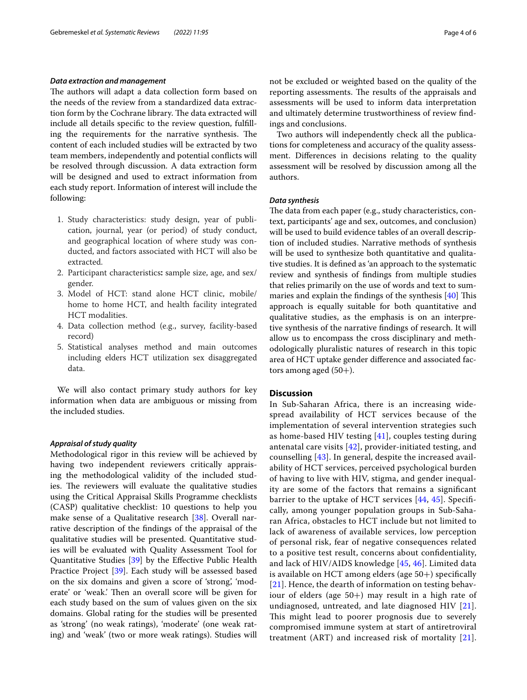# *Data extraction and management*

The authors will adapt a data collection form based on the needs of the review from a standardized data extraction form by the Cochrane library. The data extracted will include all details specifc to the review question, fulflling the requirements for the narrative synthesis. The content of each included studies will be extracted by two team members, independently and potential conficts will be resolved through discussion. A data extraction form will be designed and used to extract information from each study report. Information of interest will include the following:

- 1. Study characteristics: study design, year of publication, journal, year (or period) of study conduct, and geographical location of where study was conducted, and factors associated with HCT will also be extracted.
- 2. Participant characteristics**:** sample size, age, and sex/ gender.
- 3. Model of HCT: stand alone HCT clinic, mobile/ home to home HCT, and health facility integrated HCT modalities.
- 4. Data collection method (e.g., survey, facility-based record)
- 5. Statistical analyses method and main outcomes including elders HCT utilization sex disaggregated data.

We will also contact primary study authors for key information when data are ambiguous or missing from the included studies.

# *Appraisal of study quality*

Methodological rigor in this review will be achieved by having two independent reviewers critically appraising the methodological validity of the included studies. The reviewers will evaluate the qualitative studies using the Critical Appraisal Skills Programme checklists (CASP) qualitative checklist: 10 questions to help you make sense of a Qualitative research [\[38\]](#page-5-24). Overall narrative description of the fndings of the appraisal of the qualitative studies will be presented. Quantitative studies will be evaluated with Quality Assessment Tool for Quantitative Studies [\[39](#page-5-25)] by the Efective Public Health Practice Project [\[39](#page-5-25)]. Each study will be assessed based on the six domains and given a score of 'strong', 'moderate' or 'weak.' Then an overall score will be given for each study based on the sum of values given on the six domains. Global rating for the studies will be presented as 'strong' (no weak ratings), 'moderate' (one weak rating) and 'weak' (two or more weak ratings). Studies will not be excluded or weighted based on the quality of the reporting assessments. The results of the appraisals and assessments will be used to inform data interpretation and ultimately determine trustworthiness of review fndings and conclusions.

Two authors will independently check all the publications for completeness and accuracy of the quality assessment. Diferences in decisions relating to the quality assessment will be resolved by discussion among all the authors.

# *Data synthesis*

The data from each paper (e.g., study characteristics, context, participants' age and sex, outcomes, and conclusion) will be used to build evidence tables of an overall description of included studies. Narrative methods of synthesis will be used to synthesize both quantitative and qualitative studies. It is defned as 'an approach to the systematic review and synthesis of fndings from multiple studies that relies primarily on the use of words and text to summaries and explain the findings of the synthesis  $[40]$  $[40]$  This approach is equally suitable for both quantitative and qualitative studies, as the emphasis is on an interpretive synthesis of the narrative fndings of research. It will allow us to encompass the cross disciplinary and methodologically pluralistic natures of research in this topic area of HCT uptake gender diference and associated factors among aged  $(50+)$ .

# **Discussion**

In Sub-Saharan Africa, there is an increasing widespread availability of HCT services because of the implementation of several intervention strategies such as home-based HIV testing [\[41](#page-5-27)], couples testing during antenatal care visits [[42\]](#page-5-28), provider-initiated testing, and counselling [[43\]](#page-5-29). In general, despite the increased availability of HCT services, perceived psychological burden of having to live with HIV, stigma, and gender inequality are some of the factors that remains a signifcant barrier to the uptake of HCT services [\[44](#page-5-30), [45\]](#page-5-31). Specifcally, among younger population groups in Sub-Saharan Africa, obstacles to HCT include but not limited to lack of awareness of available services, low perception of personal risk, fear of negative consequences related to a positive test result, concerns about confdentiality, and lack of HIV/AIDS knowledge [[45,](#page-5-31) [46\]](#page-5-32). Limited data is available on HCT among elders (age 50+) specifcally [[21](#page-5-8)]. Hence, the dearth of information on testing behaviour of elders (age 50+) may result in a high rate of undiagnosed, untreated, and late diagnosed HIV  $[21]$  $[21]$  $[21]$ . This might lead to poorer prognosis due to severely compromised immune system at start of antiretroviral treatment (ART) and increased risk of mortality [[21](#page-5-8)].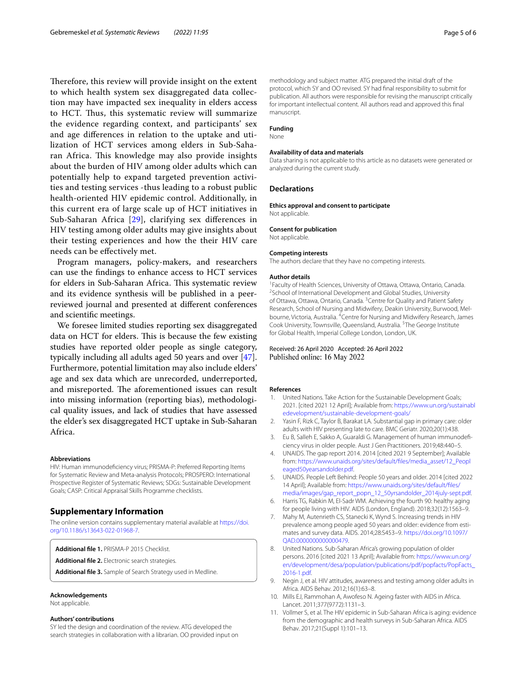Therefore, this review will provide insight on the extent to which health system sex disaggregated data collection may have impacted sex inequality in elders access to HCT. Thus, this systematic review will summarize the evidence regarding context, and participants' sex and age diferences in relation to the uptake and utilization of HCT services among elders in Sub-Saharan Africa. This knowledge may also provide insights about the burden of HIV among older adults which can potentially help to expand targeted prevention activities and testing services -thus leading to a robust public health-oriented HIV epidemic control. Additionally, in this current era of large scale up of HCT initiatives in Sub-Saharan Africa [[29\]](#page-5-15), clarifying sex diferences in HIV testing among older adults may give insights about their testing experiences and how the their HIV care needs can be efectively met.

Program managers, policy-makers, and researchers can use the fndings to enhance access to HCT services for elders in Sub-Saharan Africa. This systematic review and its evidence synthesis will be published in a peerreviewed journal and presented at diferent conferences and scientifc meetings.

We foresee limited studies reporting sex disaggregated data on HCT for elders. This is because the few existing studies have reported older people as single category, typically including all adults aged 50 years and over [\[47](#page-5-33)]. Furthermore, potential limitation may also include elders' age and sex data which are unrecorded, underreported, and misreported. The aforementioned issues can result into missing information (reporting bias), methodological quality issues, and lack of studies that have assessed the elder's sex disaggregated HCT uptake in Sub-Saharan Africa.

#### **Abbreviations**

HIV: Human immunodefciency virus; PRISMA-P: Preferred Reporting Items for Systematic Review and Meta-analysis Protocols; PROSPERO: International Prospective Register of Systematic Reviews; SDGs: Sustainable Development Goals; CASP: Critical Appraisal Skills Programme checklists.

# **Supplementary Information**

The online version contains supplementary material available at [https://doi.](https://doi.org/10.1186/s13643-022-01968-7) [org/10.1186/s13643-022-01968-7](https://doi.org/10.1186/s13643-022-01968-7).

<span id="page-4-10"></span><span id="page-4-9"></span>**Additional fle 1.** PRISMA-P 2015 Checklist.

<span id="page-4-11"></span>**Additional fle 2.** Electronic search strategies.

**Additional fle 3.** Sample of Search Strategy used in Medline.

# **Acknowledgements**

Not applicable.

#### **Authors' contributions**

SY led the design and coordination of the review. ATG developed the search strategies in collaboration with a librarian. OO provided input on methodology and subject matter. ATG prepared the initial draft of the protocol, which SY and OO revised. SY had fnal responsibility to submit for publication. All authors were responsible for revising the manuscript critically for important intellectual content. All authors read and approved this fnal manuscript.

# **Funding**

None

# **Availability of data and materials**

Data sharing is not applicable to this article as no datasets were generated or analyzed during the current study.

# **Declarations**

**Ethics approval and consent to participate** Not applicable.

#### **Consent for publication**

Not applicable.

#### **Competing interests**

The authors declare that they have no competing interests.

#### **Author details**

<sup>1</sup> Faculty of Health Sciences, University of Ottawa, Ottawa, Ontario, Canada.<br><sup>2</sup>School of International Development and Global Studies University. <sup>2</sup>School of International Development and Global Studies, University of Ottawa, Ottawa, Ontario, Canada. <sup>3</sup> Centre for Quality and Patient Safety Research, School of Nursing and Midwifery, Deakin University, Burwood, Melbourne, Victoria, Australia. <sup>4</sup> Centre for Nursing and Midwifery Research, James Cook University, Townsville, Queensland, Australia. <sup>5</sup>The George Institute for Global Health, Imperial College London, London, UK.

# Received: 26 April 2020 Accepted: 26 April 2022 Published online: 16 May 2022

#### **References**

- <span id="page-4-0"></span>1. United Nations. Take Action for the Sustainable Development Goals; 2021. [cited 2021 12 April]; Available from: [https://www.un.org/sustainabl](https://www.un.org/sustainabledevelopment/sustainable-development-goals/) [edevelopment/sustainable-development-goals/](https://www.un.org/sustainabledevelopment/sustainable-development-goals/)
- <span id="page-4-1"></span>2. Yasin F, Rizk C, Taylor B, Barakat LA. Substantial gap in primary care: older adults with HIV presenting late to care. BMC Geriatr. 2020;20(1):438.
- 3. Eu B, Salleh E, Sakko A, Guaraldi G. Management of human immunodefciency virus in older people. Aust J Gen Practitioners. 2019;48:440–5.
- 4. UNAIDS. The gap report 2014. 2014 [cited 2021 9 September]; Available from: [https://www.unaids.org/sites/default/fles/media\\_asset/12\\_Peopl](https://www.unaids.org/sites/default/files/media_asset/12_Peopleaged50yearsandolder.pdf) [eaged50yearsandolder.pdf](https://www.unaids.org/sites/default/files/media_asset/12_Peopleaged50yearsandolder.pdf).
- <span id="page-4-2"></span>5. UNAIDS. People Left Behind: People 50 years and older. 2014 [cited 2022 14 April]; Available from: [https://www.unaids.org/sites/default/fles/](https://www.unaids.org/sites/default/files/media/images/gap_report_popn_12_50yrsandolder_2014july-sept.pdf) [media/images/gap\\_report\\_popn\\_12\\_50yrsandolder\\_2014july-sept.pdf](https://www.unaids.org/sites/default/files/media/images/gap_report_popn_12_50yrsandolder_2014july-sept.pdf).
- <span id="page-4-3"></span>6. Harris TG, Rabkin M, El-Sadr WM. Achieving the fourth 90: healthy aging for people living with HIV. AIDS (London, England). 2018;32(12):1563–9.
- <span id="page-4-4"></span>7. Mahy M, Autenrieth CS, Stanecki K, Wynd S. Increasing trends in HIV prevalence among people aged 50 years and older: evidence from estimates and survey data. AIDS. 2014;28:S453–9. [https://doi.org/10.1097/](https://doi.org/10.1097/QAD.0000000000000479) [QAD.0000000000000479.](https://doi.org/10.1097/QAD.0000000000000479)
- <span id="page-4-5"></span>8. United Nations. Sub-Saharan Africa's growing population of older persons. 2016 [cited 2021 13 April]; Available from: [https://www.un.org/](https://www.un.org/en/development/desa/population/publications/pdf/popfacts/PopFacts_2016-1.pdf) [en/development/desa/population/publications/pdf/popfacts/PopFacts\\_](https://www.un.org/en/development/desa/population/publications/pdf/popfacts/PopFacts_2016-1.pdf) [2016-1.pdf.](https://www.un.org/en/development/desa/population/publications/pdf/popfacts/PopFacts_2016-1.pdf)
- <span id="page-4-6"></span>9. Negin J, et al. HIV attitudes, awareness and testing among older adults in Africa. AIDS Behav. 2012;16(1):63–8.
- <span id="page-4-8"></span>10. Mills EJ, Rammohan A, Awofeso N. Ageing faster with AIDS in Africa. Lancet. 2011;377(9772):1131–3.
- <span id="page-4-7"></span>11. Vollmer S, et al. The HIV epidemic in Sub-Saharan Africa is aging: evidence from the demographic and health surveys in Sub-Saharan Africa. AIDS Behav. 2017;21(Suppl 1):101–13.